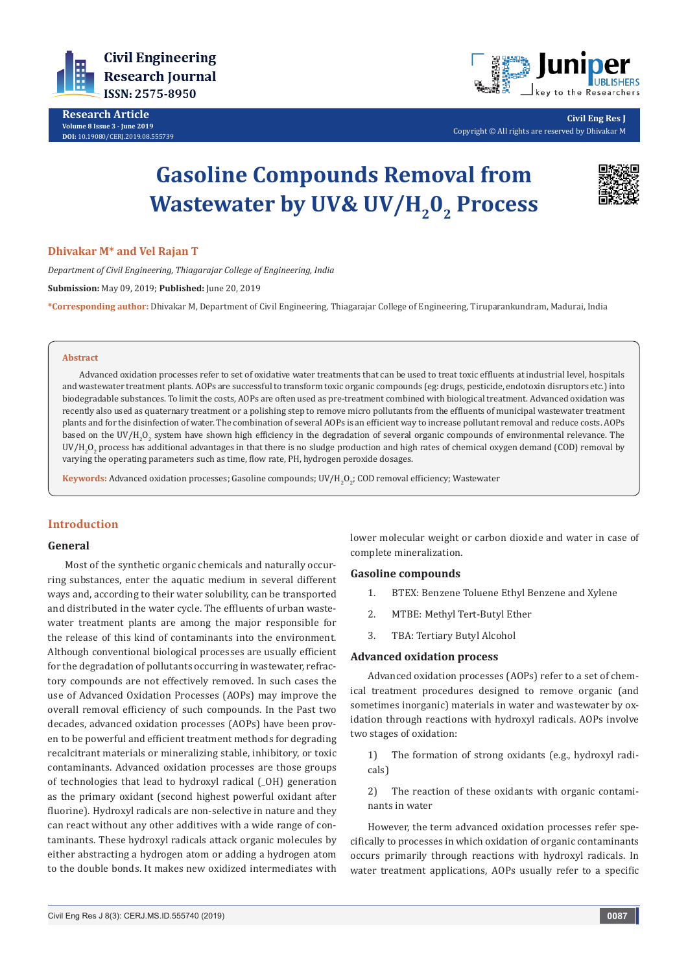

**Research Article Volume 8 Issue 3 - June 2019 DOI:** [10.19080/CERJ.2019.08.555739](http://dx.doi.org/10.19080/CERJ.2019.08.555739)



**Civil Eng Res J** Copyright © All rights are reserved by Dhivakar M

# **Gasoline Compounds Removal from Wastewater by UV& UV/H<sub>2</sub>0<sub>2</sub> Process**



# **Dhivakar M\* and Vel Rajan T**

*Department of Civil Engineering, Thiagarajar College of Engineering, India* **Submission:** May 09, 2019; **Published:** June 20, 2019

**\*Corresponding author:** Dhivakar M, Department of Civil Engineering, Thiagarajar College of Engineering, Tiruparankundram, Madurai, India

#### **Abstract**

Advanced oxidation processes refer to set of oxidative water treatments that can be used to treat toxic effluents at industrial level, hospitals and wastewater treatment plants. AOPs are successful to transform toxic organic compounds (eg: drugs, pesticide, endotoxin disruptors etc.) into biodegradable substances. To limit the costs, AOPs are often used as pre-treatment combined with biological treatment. Advanced oxidation was recently also used as quaternary treatment or a polishing step to remove micro pollutants from the effluents of municipal wastewater treatment plants and for the disinfection of water. The combination of several AOPs is an efficient way to increase pollutant removal and reduce costs. AOPs based on the UV/H<sub>2</sub>O<sub>2</sub> system have shown high efficiency in the degradation of several organic compounds of environmental relevance. The  $\mathsf{UV}/\mathsf{H}_2\mathsf{O}_2$  process has additional advantages in that there is no sludge production and high rates of chemical oxygen demand (COD) removal by varying the operating parameters such as time, flow rate, PH, hydrogen peroxide dosages.

**Keywords:** Advanced oxidation processes; Gasoline compounds; UV/H<sub>2</sub>O<sub>2</sub>; COD removal efficiency; Wastewater

# **Introduction**

## **General**

Most of the synthetic organic chemicals and naturally occurring substances, enter the aquatic medium in several different ways and, according to their water solubility, can be transported and distributed in the water cycle. The effluents of urban wastewater treatment plants are among the major responsible for the release of this kind of contaminants into the environment. Although conventional biological processes are usually efficient for the degradation of pollutants occurring in wastewater, refractory compounds are not effectively removed. In such cases the use of Advanced Oxidation Processes (AOPs) may improve the overall removal efficiency of such compounds. In the Past two decades, advanced oxidation processes (AOPs) have been proven to be powerful and efficient treatment methods for degrading recalcitrant materials or mineralizing stable, inhibitory, or toxic contaminants. Advanced oxidation processes are those groups of technologies that lead to hydroxyl radical (\_OH) generation as the primary oxidant (second highest powerful oxidant after fluorine). Hydroxyl radicals are non-selective in nature and they can react without any other additives with a wide range of contaminants. These hydroxyl radicals attack organic molecules by either abstracting a hydrogen atom or adding a hydrogen atom to the double bonds. It makes new oxidized intermediates with

lower molecular weight or carbon dioxide and water in case of complete mineralization.

#### **Gasoline compounds**

- 1. BTEX: Benzene Toluene Ethyl Benzene and Xylene
- 2. MTBE: Methyl Tert-Butyl Ether
- 3. TBA: Tertiary Butyl Alcohol

## **Advanced oxidation process**

Advanced oxidation processes (AOPs) refer to a set of chemical treatment procedures designed to remove organic (and sometimes inorganic) materials in water and wastewater by oxidation through reactions with hydroxyl radicals. AOPs involve two stages of oxidation:

1) The formation of strong oxidants (e.g., hydroxyl radicals)

2) The reaction of these oxidants with organic contaminants in water

However, the term advanced oxidation processes refer specifically to processes in which oxidation of organic contaminants occurs primarily through reactions with hydroxyl radicals. In water treatment applications, AOPs usually refer to a specific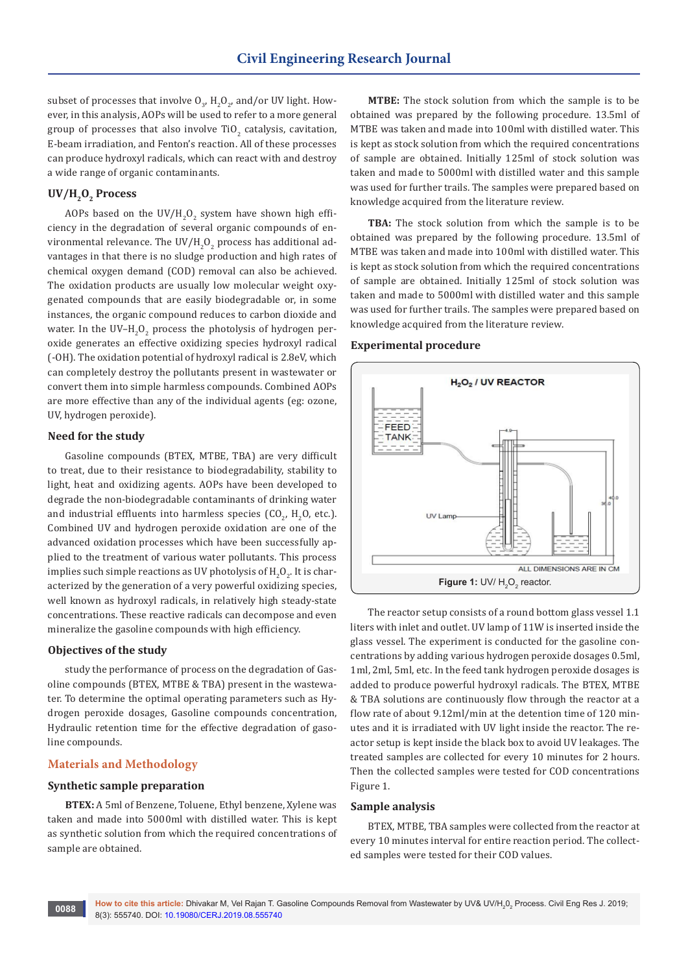subset of processes that involve  $\boldsymbol{\mathsf{U}}_3$ ,  $\boldsymbol{\mathsf{H}}_2\boldsymbol{\mathsf{U}}_2$ , and/or UV light. However, in this analysis, AOPs will be used to refer to a more general group of processes that also involve TiO<sub>2</sub> catalysis, cavitation, E-beam irradiation, and Fenton's reaction. All of these processes can produce hydroxyl radicals, which can react with and destroy a wide range of organic contaminants.

# UV/H<sub>2</sub>O<sub>2</sub> Process

AOPs based on the UV/H $_{\rm 2}$ O $_{\rm 2}$  system have shown high efficiency in the degradation of several organic compounds of environmental relevance. The UV/H<sub>2</sub>O<sub>2</sub> process has additional advantages in that there is no sludge production and high rates of chemical oxygen demand (COD) removal can also be achieved. The oxidation products are usually low molecular weight oxygenated compounds that are easily biodegradable or, in some instances, the organic compound reduces to carbon dioxide and water. In the UV–H $_{2}$ O $_{2}$  process the photolysis of hydrogen peroxide generates an effective oxidizing species hydroxyl radical (-OH). The oxidation potential of hydroxyl radical is 2.8eV, which can completely destroy the pollutants present in wastewater or convert them into simple harmless compounds. Combined AOPs are more effective than any of the individual agents (eg: ozone, UV, hydrogen peroxide).

#### **Need for the study**

Gasoline compounds (BTEX, MTBE, TBA) are very difficult to treat, due to their resistance to biodegradability, stability to light, heat and oxidizing agents. AOPs have been developed to degrade the non-biodegradable contaminants of drinking water and industrial effluents into harmless species  $(CO_{2'} H_{2}O_{2})$ , etc.). Combined UV and hydrogen peroxide oxidation are one of the advanced oxidation processes which have been successfully applied to the treatment of various water pollutants. This process implies such simple reactions as UV photolysis of  $\mathrm{H_2O_2}$ . It is characterized by the generation of a very powerful oxidizing species, well known as hydroxyl radicals, in relatively high steady-state concentrations. These reactive radicals can decompose and even mineralize the gasoline compounds with high efficiency.

## **Objectives of the study**

study the performance of process on the degradation of Gasoline compounds (BTEX, MTBE & TBA) present in the wastewater. To determine the optimal operating parameters such as Hydrogen peroxide dosages, Gasoline compounds concentration, Hydraulic retention time for the effective degradation of gasoline compounds.

# **Materials and Methodology**

## **Synthetic sample preparation**

**BTEX:** A 5ml of Benzene, Toluene, Ethyl benzene, Xylene was taken and made into 5000ml with distilled water. This is kept as synthetic solution from which the required concentrations of sample are obtained.

**MTBE:** The stock solution from which the sample is to be obtained was prepared by the following procedure. 13.5ml of MTBE was taken and made into 100ml with distilled water. This is kept as stock solution from which the required concentrations of sample are obtained. Initially 125ml of stock solution was taken and made to 5000ml with distilled water and this sample was used for further trails. The samples were prepared based on knowledge acquired from the literature review.

**TBA:** The stock solution from which the sample is to be obtained was prepared by the following procedure. 13.5ml of MTBE was taken and made into 100ml with distilled water. This is kept as stock solution from which the required concentrations of sample are obtained. Initially 125ml of stock solution was taken and made to 5000ml with distilled water and this sample was used for further trails. The samples were prepared based on knowledge acquired from the literature review.

## **Experimental procedure**



The reactor setup consists of a round bottom glass vessel 1.1 liters with inlet and outlet. UV lamp of 11W is inserted inside the glass vessel. The experiment is conducted for the gasoline concentrations by adding various hydrogen peroxide dosages 0.5ml, 1ml, 2ml, 5ml, etc. In the feed tank hydrogen peroxide dosages is added to produce powerful hydroxyl radicals. The BTEX, MTBE & TBA solutions are continuously flow through the reactor at a flow rate of about 9.12ml/min at the detention time of 120 minutes and it is irradiated with UV light inside the reactor. The reactor setup is kept inside the black box to avoid UV leakages. The treated samples are collected for every 10 minutes for 2 hours. Then the collected samples were tested for COD concentrations Figure 1.

#### **Sample analysis**

BTEX, MTBE, TBA samples were collected from the reactor at every 10 minutes interval for entire reaction period. The collected samples were tested for their COD values.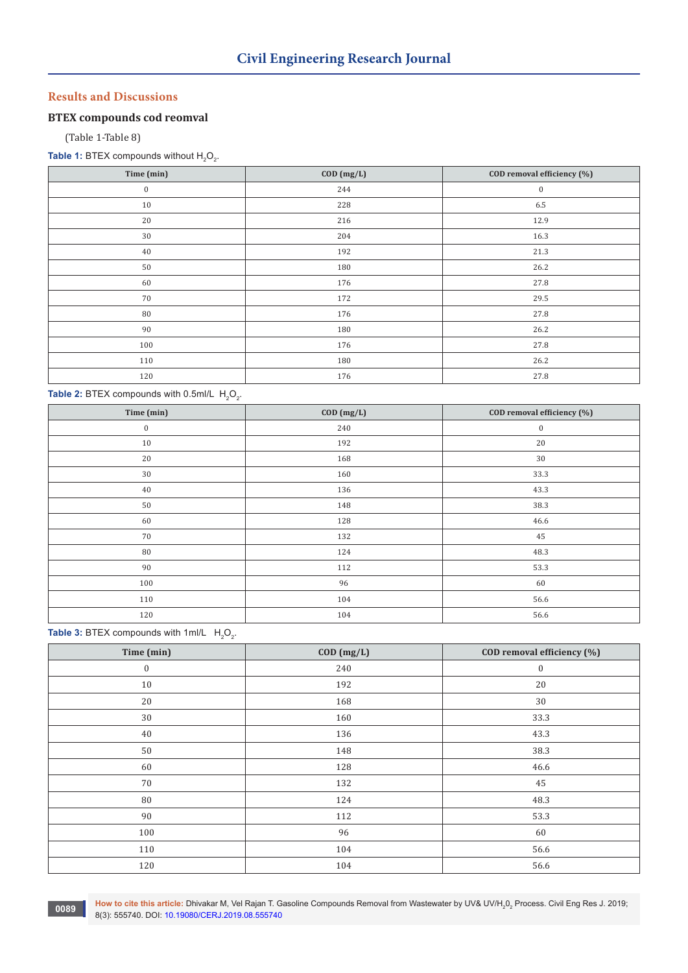# **Results and Discussions**

# **BTEX compounds cod reomval**

(Table 1-Table 8)

**Table 1:** BTEX compounds without  $H_2O_2$ .

| Time (min)       | $COD$ $(mg/L)$ | COD removal efficiency (%) |
|------------------|----------------|----------------------------|
| $\boldsymbol{0}$ | 244            | $\bf{0}$                   |
| 10               | 228            | 6.5                        |
| 20               | 216            | 12.9                       |
| 30               | 204            | 16.3                       |
| 40               | 192            | 21.3                       |
| 50               | 180            | 26.2                       |
| 60               | 176            | 27.8                       |
| $70\,$           | 172            | 29.5                       |
| 80               | 176            | 27.8                       |
| 90               | 180            | 26.2                       |
| 100              | 176            | 27.8                       |
| 110              | 180            | 26.2                       |
| 120              | 176            | 27.8                       |

## **Table 2:** BTEX compounds with  $0.5$ ml/L  $H_2O_2$ .

| Time (min)       | COD (mg/L) | COD removal efficiency (%) |
|------------------|------------|----------------------------|
| $\boldsymbol{0}$ | 240        | $\boldsymbol{0}$           |
| 10               | 192        | 20                         |
| 20               | 168        | 30                         |
| 30               | 160        | 33.3                       |
| 40               | 136        | 43.3                       |
| 50               | 148        | 38.3                       |
| 60               | 128        | 46.6                       |
| 70               | 132        | 45                         |
| 80               | 124        | 48.3                       |
| 90               | 112        | 53.3                       |
| 100              | 96         | 60                         |
| 110              | 104        | 56.6                       |
| 120              | 104        | 56.6                       |

# **Table 3:** BTEX compounds with 1ml/L  $H_2O_2$ .

| Time (min)       | $COD$ $(mg/L)$ | COD removal efficiency (%) |
|------------------|----------------|----------------------------|
| $\boldsymbol{0}$ | 240            | $\boldsymbol{0}$           |
| $10\,$           | 192            | 20                         |
| $20\,$           | 168            | $30\,$                     |
| 30               | 160            | 33.3                       |
| 40               | 136            | 43.3                       |
| 50               | 148            | 38.3                       |
| 60               | 128            | 46.6                       |
| 70               | 132            | 45                         |
| 80               | 124            | 48.3                       |
| 90               | 112            | 53.3                       |
| 100              | 96             | 60                         |
| 110              | 104            | 56.6                       |
| 120              | 104            | 56.6                       |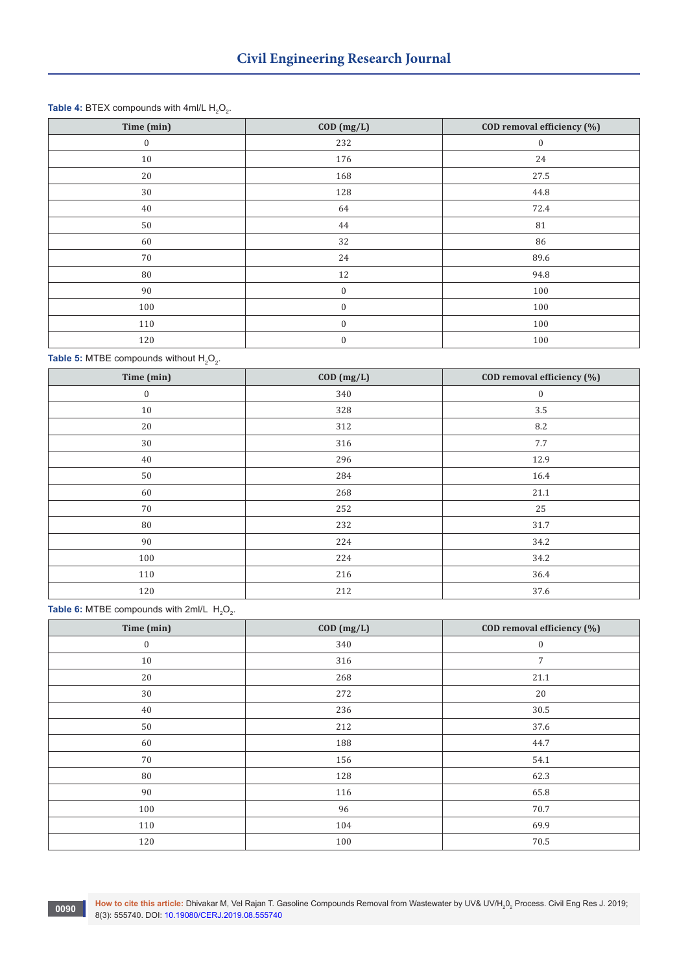# **Table 4:** BTEX compounds with 4ml/L  $H_2O_2$ .

| Time (min)       | $COD$ $(mg/L)$   | COD removal efficiency (%) |
|------------------|------------------|----------------------------|
| $\boldsymbol{0}$ | 232              | $\bf{0}$                   |
| 10               | 176              | 24                         |
| 20               | 168              | 27.5                       |
| 30               | 128              | 44.8                       |
| 40               | 64               | 72.4                       |
| $50\,$           | 44               | 81                         |
| 60               | 32               | 86                         |
| 70               | 24               | 89.6                       |
| 80               | 12               | 94.8                       |
| 90               | $\mathbf{0}$     | 100                        |
| 100              | $\mathbf{0}$     | 100                        |
| 110              | $\boldsymbol{0}$ | 100                        |
| 120              | $\boldsymbol{0}$ | 100                        |

**Table 5:** MTBE compounds without  $H_2O_2$ .

| Time (min)       | $COD$ $(mg/L)$ | COD removal efficiency (%) |
|------------------|----------------|----------------------------|
| $\boldsymbol{0}$ | 340            | $\boldsymbol{0}$           |
| 10               | 328            | 3.5                        |
| 20               | 312            | 8.2                        |
| 30               | 316            | 7.7                        |
| 40               | 296            | 12.9                       |
| 50               | 284            | 16.4                       |
| 60               | 268            | 21.1                       |
| 70               | 252            | 25                         |
| ${\bf 80}$       | 232            | 31.7                       |
| 90               | 224            | 34.2                       |
| 100              | 224            | 34.2                       |
| 110              | 216            | 36.4                       |
| 120              | 212            | 37.6                       |

**Table 6:** MTBE compounds with 2ml/L  $H_2O_2$ .

| Time (min)   | $COD$ $(mg/L)$ | COD removal efficiency (%) |
|--------------|----------------|----------------------------|
| $\mathbf{0}$ | 340            | $\boldsymbol{0}$           |
| 10           | 316            | 7                          |
| 20           | 268            | 21.1                       |
| 30           | 272            | 20                         |
| 40           | 236            | 30.5                       |
| 50           | 212            | 37.6                       |
| 60           | 188            | 44.7                       |
| 70           | 156            | 54.1                       |
| 80           | 128            | 62.3                       |
| 90           | 116            | 65.8                       |
| 100          | 96             | 70.7                       |
| 110          | 104            | 69.9                       |
| 120          | 100            | 70.5                       |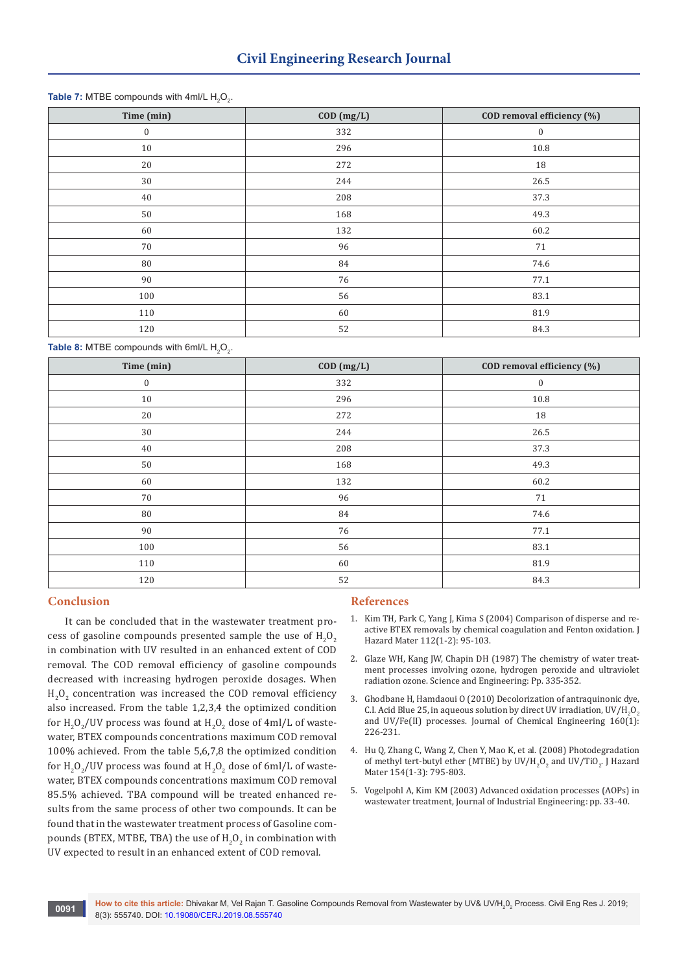# **Table 7:** MTBE compounds with 4ml/L  $H_2O_2$ .

| Time (min)       | $COD$ $(mg/L)$ | COD removal efficiency (%) |
|------------------|----------------|----------------------------|
| $\boldsymbol{0}$ | 332            | $\mathbf{0}$               |
| $10\,$           | 296            | 10.8                       |
| $20\,$           | 272            | 18                         |
| 30               | 244            | 26.5                       |
| 40               | 208            | 37.3                       |
| $50\,$           | 168            | 49.3                       |
| 60               | 132            | 60.2                       |
| 70               | 96             | 71                         |
| 80               | 84             | 74.6                       |
| 90               | 76             | 77.1                       |
| 100              | 56             | 83.1                       |
| 110              | 60             | 81.9                       |
| 120              | 52             | 84.3                       |

**Table 8:** MTBE compounds with 6ml/L  $H_2O_2$ .

| Time (min)       | $COD$ $(mg/L)$ | COD removal efficiency (%) |
|------------------|----------------|----------------------------|
| $\boldsymbol{0}$ | 332            | $\boldsymbol{0}$           |
| 10               | 296            | 10.8                       |
| 20               | 272            | 18                         |
| $30\,$           | 244            | 26.5                       |
| 40               | 208            | 37.3                       |
| 50               | 168            | 49.3                       |
| 60               | 132            | 60.2                       |
| 70               | 96             | 71                         |
| 80               | 84             | 74.6                       |
| 90               | 76             | 77.1                       |
| 100              | 56             | 83.1                       |
| 110              | 60             | 81.9                       |
| 120              | 52             | 84.3                       |

## **Conclusion**

It can be concluded that in the wastewater treatment process of gasoline compounds presented sample the use of  $H_2O_2$ in combination with UV resulted in an enhanced extent of COD removal. The COD removal efficiency of gasoline compounds decreased with increasing hydrogen peroxide dosages. When  $H_2O_2$  concentration was increased the COD removal efficiency also increased. From the table 1,2,3,4 the optimized condition for  $\rm H_2O_2/$ UV process was found at  $\rm H_2O_2$  dose of 4ml/L of wastewater, BTEX compounds concentrations maximum COD removal 100% achieved. From the table 5,6,7,8 the optimized condition for  $\rm H_2O_2/$ UV process was found at  $\rm H_2O_2$  dose of 6ml/L of wastewater, BTEX compounds concentrations maximum COD removal 85.5% achieved. TBA compound will be treated enhanced results from the same process of other two compounds. It can be found that in the wastewater treatment process of Gasoline compounds (BTEX, MTBE, TBA) the use of  $H_2O_2$  in combination with UV expected to result in an enhanced extent of COD removal.

## **References**

- 1. [Kim TH, Park C, Yang J, Kima S \(2004\) Comparison of disperse and re](https://www.ncbi.nlm.nih.gov/pubmed/15225935)[active BTEX removals by chemical coagulation and Fenton oxidation. J](https://www.ncbi.nlm.nih.gov/pubmed/15225935)  [Hazard Mater 112\(1-2\): 95-103.](https://www.ncbi.nlm.nih.gov/pubmed/15225935)
- 2. Glaze WH, Kang JW, Chapin DH (1987) The chemistry of water treatment processes involving ozone, hydrogen peroxide and ultraviolet radiation ozone. Science and Engineering: Pp. 335-352.
- 3. [Ghodbane H, Hamdaoui O \(2010\) Decolorization of antraquinonic dye,](https://www.sciencedirect.com/science/article/pii/S1385894710002688)  C.I. Acid Blue 25, in aqueous solution by direct UV irradiation, UV/H<sub>2</sub>O<sub>2</sub> [and UV/Fe\(II\) processes. Journal of Chemical Engineering 160\(1\):](https://www.sciencedirect.com/science/article/pii/S1385894710002688)  [226-231.](https://www.sciencedirect.com/science/article/pii/S1385894710002688)
- 4. [Hu Q, Zhang C, Wang Z, Chen Y, Mao K, et al. \(2008\) Photodegradation](https://www.ncbi.nlm.nih.gov/pubmed/18082954)  of methyl tert-butyl ether (MTBE) by  $UV/H_2O_2$  and  $UV/TIO_2$ . J Hazard [Mater 154\(1-3\): 795-803.](https://www.ncbi.nlm.nih.gov/pubmed/18082954)
- 5. Vogelpohl A, Kim KM (2003) Advanced oxidation processes (AOPs) in wastewater treatment, Journal of Industrial Engineering: pp. 33-40.